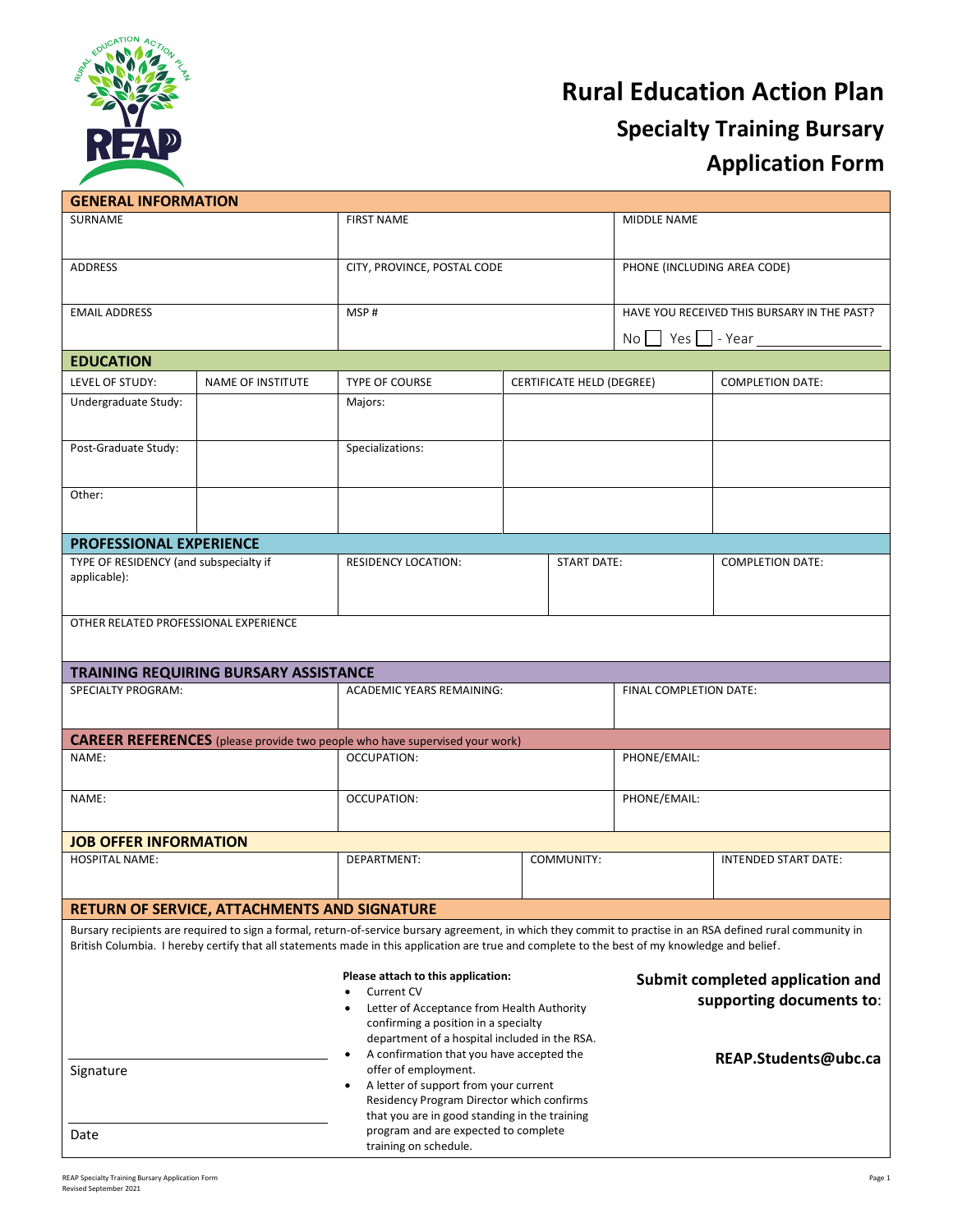

# **Rural Education Action Plan Specialty Training Bursary Application Form**

| <b>GENERAL INFORMATION</b>                                                                                                                                                                                                                                                                                    |                                                     |                                                                                                                         |                           |                                           |                                             |                             |
|---------------------------------------------------------------------------------------------------------------------------------------------------------------------------------------------------------------------------------------------------------------------------------------------------------------|-----------------------------------------------------|-------------------------------------------------------------------------------------------------------------------------|---------------------------|-------------------------------------------|---------------------------------------------|-----------------------------|
| <b>SURNAME</b>                                                                                                                                                                                                                                                                                                |                                                     | <b>FIRST NAME</b>                                                                                                       |                           |                                           | MIDDLE NAME                                 |                             |
|                                                                                                                                                                                                                                                                                                               |                                                     |                                                                                                                         |                           |                                           |                                             |                             |
| <b>ADDRESS</b>                                                                                                                                                                                                                                                                                                |                                                     | CITY, PROVINCE, POSTAL CODE                                                                                             |                           | PHONE (INCLUDING AREA CODE)               |                                             |                             |
| <b>EMAIL ADDRESS</b>                                                                                                                                                                                                                                                                                          |                                                     | MSP#                                                                                                                    |                           |                                           | HAVE YOU RECEIVED THIS BURSARY IN THE PAST? |                             |
|                                                                                                                                                                                                                                                                                                               |                                                     |                                                                                                                         |                           | $Yes \fbox{--}$ - Year<br>No <sup>1</sup> |                                             |                             |
| <b>EDUCATION</b>                                                                                                                                                                                                                                                                                              |                                                     |                                                                                                                         |                           |                                           |                                             |                             |
| LEVEL OF STUDY:                                                                                                                                                                                                                                                                                               | <b>NAME OF INSTITUTE</b>                            | <b>TYPE OF COURSE</b>                                                                                                   | CERTIFICATE HELD (DEGREE) |                                           |                                             | <b>COMPLETION DATE:</b>     |
| Undergraduate Study:                                                                                                                                                                                                                                                                                          |                                                     | Majors:                                                                                                                 |                           |                                           |                                             |                             |
| Post-Graduate Study:                                                                                                                                                                                                                                                                                          |                                                     | Specializations:                                                                                                        |                           |                                           |                                             |                             |
| Other:                                                                                                                                                                                                                                                                                                        |                                                     |                                                                                                                         |                           |                                           |                                             |                             |
| <b>PROFESSIONAL EXPERIENCE</b>                                                                                                                                                                                                                                                                                |                                                     |                                                                                                                         |                           |                                           |                                             |                             |
| TYPE OF RESIDENCY (and subspecialty if<br>applicable):                                                                                                                                                                                                                                                        |                                                     | <b>RESIDENCY LOCATION:</b>                                                                                              | <b>START DATE:</b>        |                                           |                                             | <b>COMPLETION DATE:</b>     |
| OTHER RELATED PROFESSIONAL EXPERIENCE                                                                                                                                                                                                                                                                         |                                                     |                                                                                                                         |                           |                                           |                                             |                             |
| <b>TRAINING REQUIRING BURSARY ASSISTANCE</b>                                                                                                                                                                                                                                                                  |                                                     |                                                                                                                         |                           |                                           |                                             |                             |
| <b>SPECIALTY PROGRAM:</b>                                                                                                                                                                                                                                                                                     |                                                     | <b>ACADEMIC YEARS REMAINING:</b>                                                                                        |                           |                                           | FINAL COMPLETION DATE:                      |                             |
| <b>CAREER REFERENCES</b> (please provide two people who have supervised your work)                                                                                                                                                                                                                            |                                                     |                                                                                                                         |                           |                                           |                                             |                             |
| NAME:                                                                                                                                                                                                                                                                                                         |                                                     | OCCUPATION:                                                                                                             |                           |                                           | PHONE/EMAIL:                                |                             |
| NAME:                                                                                                                                                                                                                                                                                                         |                                                     | OCCUPATION:                                                                                                             |                           |                                           | PHONE/EMAIL:                                |                             |
| <b>JOB OFFER INFORMATION</b>                                                                                                                                                                                                                                                                                  |                                                     |                                                                                                                         |                           |                                           |                                             |                             |
| <b>HOSPITAL NAME:</b>                                                                                                                                                                                                                                                                                         |                                                     | DEPARTMENT:<br>COMMUNITY:                                                                                               |                           |                                           |                                             | <b>INTENDED START DATE:</b> |
|                                                                                                                                                                                                                                                                                                               | <b>RETURN OF SERVICE, ATTACHMENTS AND SIGNATURE</b> |                                                                                                                         |                           |                                           |                                             |                             |
| Bursary recipients are required to sign a formal, return-of-service bursary agreement, in which they commit to practise in an RSA defined rural community in<br>British Columbia. I hereby certify that all statements made in this application are true and complete to the best of my knowledge and belief. |                                                     |                                                                                                                         |                           |                                           |                                             |                             |
|                                                                                                                                                                                                                                                                                                               |                                                     |                                                                                                                         |                           |                                           |                                             |                             |
|                                                                                                                                                                                                                                                                                                               |                                                     | Please attach to this application:<br><b>Current CV</b><br>$\bullet$                                                    |                           | Submit completed application and          |                                             |                             |
|                                                                                                                                                                                                                                                                                                               |                                                     | Letter of Acceptance from Health Authority                                                                              |                           |                                           | supporting documents to:                    |                             |
|                                                                                                                                                                                                                                                                                                               |                                                     | confirming a position in a specialty<br>department of a hospital included in the RSA.                                   |                           |                                           |                                             |                             |
|                                                                                                                                                                                                                                                                                                               |                                                     | A confirmation that you have accepted the                                                                               |                           |                                           | REAP.Students@ubc.ca                        |                             |
| Signature                                                                                                                                                                                                                                                                                                     |                                                     | offer of employment.<br>A letter of support from your current<br>$\bullet$<br>Residency Program Director which confirms |                           |                                           |                                             |                             |
| Date                                                                                                                                                                                                                                                                                                          |                                                     | that you are in good standing in the training<br>program and are expected to complete<br>training on schedule.          |                           |                                           |                                             |                             |
|                                                                                                                                                                                                                                                                                                               |                                                     |                                                                                                                         |                           |                                           |                                             |                             |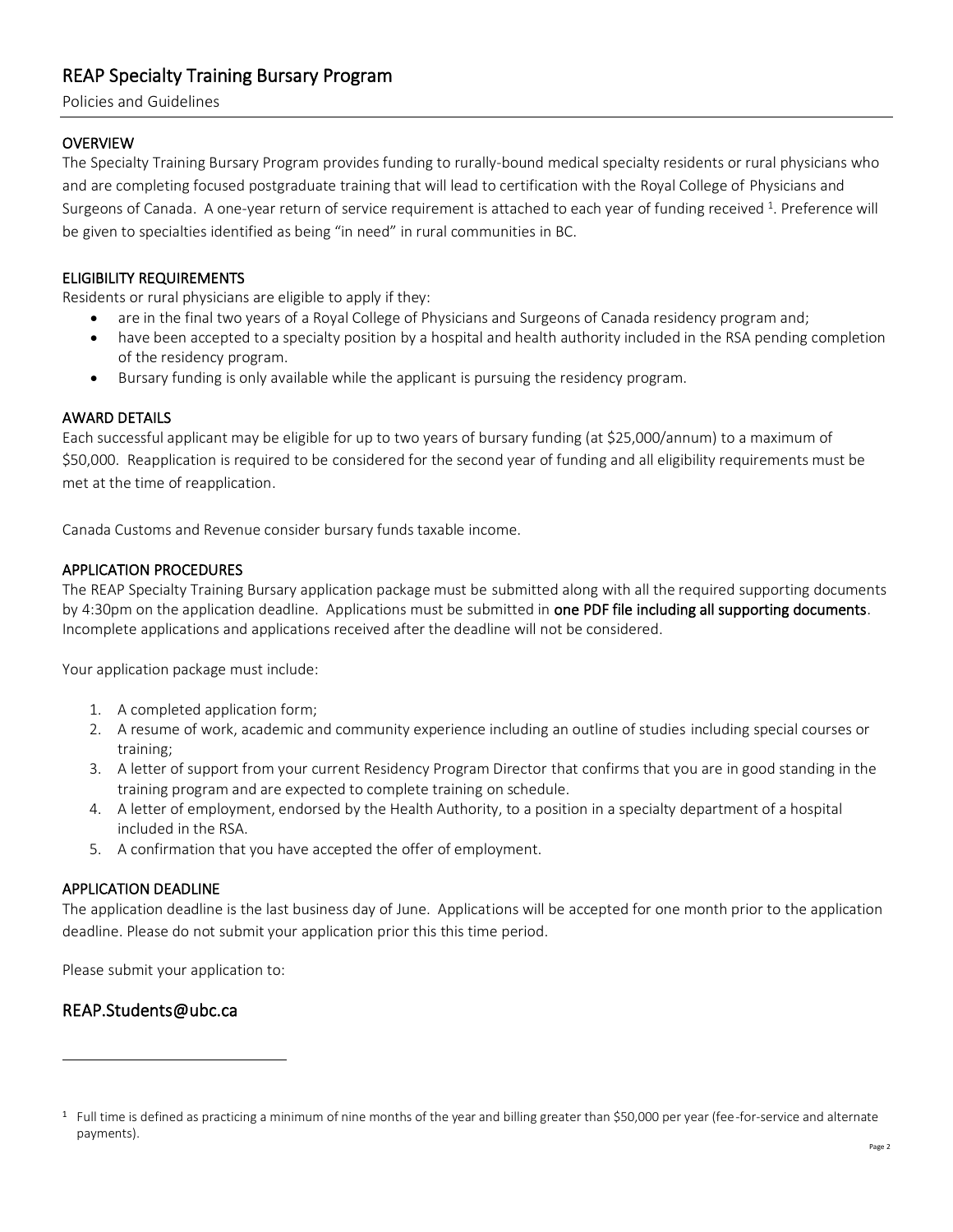# REAP Specialty Training Bursary Program

Policies and Guidelines

# **OVERVIEW**

The Specialty Training Bursary Program provides funding to rurally-bound medical specialty residents or rural physicians who and are completing focused postgraduate training that will lead to certification with the Royal College of Physicians and Surgeons of Canada. A one-year return of service requirement is attached to each year of funding received <sup>1</sup>. Preference will be given to specialties identified as being "in need" in rural communities in BC.

# ELIGIBILITY REQUIREMENTS

Residents or rural physicians are eligible to apply if they:

- are in the final two years of a Royal College of Physicians and Surgeons of Canada residency program and;
- have been accepted to a specialty position by a hospital and health authority included in the RSA pending completion of the residency program.
- Bursary funding is only available while the applicant is pursuing the residency program.

# AWARD DETAILS

Each successful applicant may be eligible for up to two years of bursary funding (at \$25,000/annum) to a maximum of \$50,000. Reapplication is required to be considered for the second year of funding and all eligibility requirements must be met at the time of reapplication.

Canada Customs and Revenue consider bursary funds taxable income.

# APPLICATION PROCEDURES

The REAP Specialty Training Bursary application package must be submitted along with all the required supporting documents by 4:30pm on the application deadline. Applications must be submitted in one PDF file including all supporting documents. Incomplete applications and applications received after the deadline will not be considered.

Your application package must include:

- 1. A completed application form;
- 2. A resume of work, academic and community experience including an outline of studies including special courses or training;
- 3. A letter of support from your current Residency Program Director that confirms that you are in good standing in the training program and are expected to complete training on schedule.
- 4. A letter of employment, endorsed by the Health Authority, to a position in a specialty department of a hospital included in the RSA.
- 5. A confirmation that you have accepted the offer of employment.

# APPLICATION DEADLINE

The application deadline is the last business day of June. Applications will be accepted for one month prior to the application deadline. Please do not submit your application prior this this time period.

Please submit your application to:

# REAP.Students@ubc.ca

 $1$  Full time is defined as practicing a minimum of nine months of the year and billing greater than \$50,000 per year (fee-for-service and alternate payments).